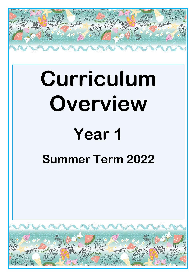

# **Curriculum Overview**

# **Year 1**

## **Summer Term 2022**

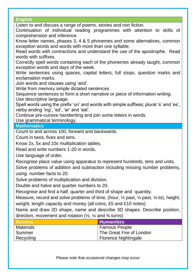#### **English**

Listen to and discuss a range of poems, stories and non fiction.

Continuation of individual reading programmes with attention to skills of comprehension and inference

Know letter names, phases 3, 4 & 5 phonemes and some alternatives, common exception words and words with more than one syllable.

Read words with contractions and understand the use of the apostrophe. Read words with suffixes.

Correctly spell words containing each of the phonemes already taught, common exception words and days of the week.

Write sentences using spaces, capital letters, full stops, question marks and exclamation marks.

Join words and clauses using 'and'.

Write from memory simple dictated sentences

Sequence sentences to form a short narrative or piece of information writing. Use descriptive language.

Spell words using the prefix 'un' and words with simple suffixes; plural 's' and 'es', verby ending 'ing', 'ed', 'er' and 'est'.

Continue pre-cursive handwriting and join some letters in words.

Use grammatical terminology.

#### **Mathematics**

Count to and across 100, forward and backwards.

Count in twos, fives and tens.

Know 2x, 5x and 10x multiplication tables.

Read and write numbers 1-20 in words.

Use language of order.

Recognise place value using apparatus to represent hundreds, tens and units.

Solve problems of addition and subtraction including missing number problems, using number facts to 20.

Solve problems of multiplication and division.

Double and halve and quarter numbers to 20.

Recognise and find a half, quarter and third of shape and quantity.

Measure, record and solve problems of time, (hour,  $\frac{1}{2}$  past,  $\frac{1}{4}$  past,  $\frac{1}{4}$  to), height, weight, length capacity and money (all coins, £5 and £10 notes)

Name and draw 2D shape, name and describe 3D shapes. Describe position, direction, movement and rotation  $(\frac{1}{2}, \frac{1}{4})$  and  $\frac{3}{4}$  turns)

| <b>Science</b>   | <b>Humanities</b>        |
|------------------|--------------------------|
| <b>Materials</b> | Famous People            |
| Summer           | The Great Fire of London |
| Recycling        | Florence Nightingale     |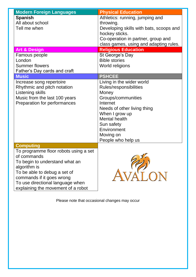| <b>Modern Foreign Languages</b>                                                                                                                                                                                                                                   | <b>Physical Education</b>                                                                                                                                                                                                               |
|-------------------------------------------------------------------------------------------------------------------------------------------------------------------------------------------------------------------------------------------------------------------|-----------------------------------------------------------------------------------------------------------------------------------------------------------------------------------------------------------------------------------------|
| <b>Spanish</b><br>All about school<br>Tell me when                                                                                                                                                                                                                | Athletics: running, jumping and<br>throwing.<br>Developing skills with bats, scoops and<br>hockey sticks.<br>Co-operation in partner, group and                                                                                         |
|                                                                                                                                                                                                                                                                   | class games, using and adapting rules.                                                                                                                                                                                                  |
| <b>Art &amp; Design</b>                                                                                                                                                                                                                                           | <b>Religious Education</b>                                                                                                                                                                                                              |
| Famous people                                                                                                                                                                                                                                                     | St George's Day                                                                                                                                                                                                                         |
| London                                                                                                                                                                                                                                                            | <b>Bible stories</b>                                                                                                                                                                                                                    |
| <b>Summer flowers</b><br>Father's Day cards and craft                                                                                                                                                                                                             | World religions                                                                                                                                                                                                                         |
| <b>Music</b>                                                                                                                                                                                                                                                      | <b>PSHCEE</b>                                                                                                                                                                                                                           |
| Increase song repertoire<br>Rhythmic and pitch notation<br>Listening skills<br>Music from the last 100 years<br>Preparation for performances                                                                                                                      | Living in the wider world<br>Rules/responsibilities<br>Money<br>Groups/communities<br>Internet<br>Needs of other living thing<br>When I grow up<br><b>Mental health</b><br>Sun safety<br>Environment<br>Moving on<br>People who help us |
| <b>Computing</b><br>To programme floor robots using a set<br>of commands<br>To begin to understand what an<br>algorithm is<br>To be able to debug a set of<br>commands if it goes wrong<br>To use directional language when<br>explaining the movement of a robot | $\sim$ 52                                                                                                                                                                                                                               |

Please note that occasional changes may occur